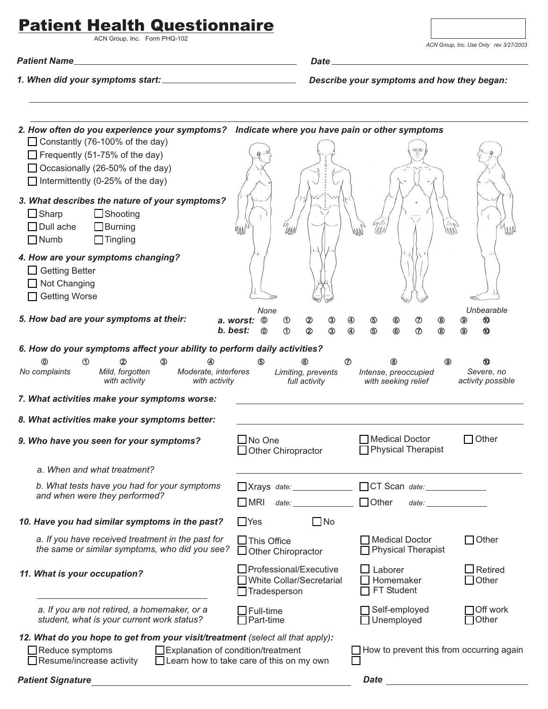## Patient Health Questionnaire

ACN Group, Inc. Form PHQ-102

*Patient Name Date*

*1. When did your symptoms start: Describe your symptoms and how they began:*

| 2. How often do you experience your symptoms? Indicate where you have pain or other symptoms                                                              |                                                                                                                                                                                                                                                                                                |  |  |  |  |
|-----------------------------------------------------------------------------------------------------------------------------------------------------------|------------------------------------------------------------------------------------------------------------------------------------------------------------------------------------------------------------------------------------------------------------------------------------------------|--|--|--|--|
| □ Constantly (76-100% of the day)                                                                                                                         |                                                                                                                                                                                                                                                                                                |  |  |  |  |
| $\Box$ Frequently (51-75% of the day)                                                                                                                     |                                                                                                                                                                                                                                                                                                |  |  |  |  |
| □ Occasionally (26-50% of the day)                                                                                                                        |                                                                                                                                                                                                                                                                                                |  |  |  |  |
| $\Box$ Intermittently (0-25% of the day)                                                                                                                  |                                                                                                                                                                                                                                                                                                |  |  |  |  |
| 3. What describes the nature of your symptoms?<br>$\Box$ Sharp<br>$\Box$ Shooting<br>$\Box$ Dull ache<br>$\Box$ Burning<br>$\Box$ Numb<br>$\Box$ Tingling |                                                                                                                                                                                                                                                                                                |  |  |  |  |
| 4. How are your symptoms changing?<br>$\Box$ Getting Better<br>Not Changing<br>□ Getting Worse                                                            |                                                                                                                                                                                                                                                                                                |  |  |  |  |
| 5. How bad are your symptoms at their:                                                                                                                    | Unbearable<br>None                                                                                                                                                                                                                                                                             |  |  |  |  |
|                                                                                                                                                           | $^{\circ}$<br>➁<br>ತ<br>a. worst:<br>$^{\circ}$<br>⊕<br>⑤<br>$^{\circ}$<br>℗<br>◉<br>(9)<br>b. best:<br>$\circledS$<br>③<br>⊚<br>➀<br>②<br>⊕<br>6€<br>℗<br>◉<br>◉<br>⅏                                                                                                                         |  |  |  |  |
| 6. How do your symptoms affect your ability to perform daily activities?                                                                                  |                                                                                                                                                                                                                                                                                                |  |  |  |  |
| ⋒<br>③<br>(2<br>④                                                                                                                                         | 6<br>℗<br>⑥<br>(9)<br>0<br>60                                                                                                                                                                                                                                                                  |  |  |  |  |
| No complaints<br>Mild, forgotten<br>Moderate, interferes<br>with activity<br>with activity                                                                | Severe, no<br>Limiting, prevents<br>Intense, preoccupied<br>with seeking relief<br>activity possible<br>full activity                                                                                                                                                                          |  |  |  |  |
| 7. What activities make your symptoms worse:                                                                                                              |                                                                                                                                                                                                                                                                                                |  |  |  |  |
| 8. What activities make your symptoms better:                                                                                                             |                                                                                                                                                                                                                                                                                                |  |  |  |  |
| 9. Who have you seen for your symptoms?                                                                                                                   | Medical Doctor<br>$\bigcap$ Other<br>$\square$ No One<br><b>Physical Therapist</b><br>$\Box$ Other Chiropractor                                                                                                                                                                                |  |  |  |  |
| a. When and what treatment?                                                                                                                               |                                                                                                                                                                                                                                                                                                |  |  |  |  |
| b. What tests have you had for your symptoms<br>and when were they performed?                                                                             | ■Xrays date: ■ CT Scan date:<br>date: Other<br>$\square$ MRI<br>date: the contract of the contract of the contract of the contract of the contract of the contract of the contract of the contract of the contract of the contract of the contract of the contract of the contract of the cont |  |  |  |  |
| 10. Have you had similar symptoms in the past?                                                                                                            | $\Box$ Yes<br>$\Box$ No                                                                                                                                                                                                                                                                        |  |  |  |  |
| a. If you have received treatment in the past for<br>the same or similar symptoms, who did you see?                                                       | $\Box$ Other<br>Medical Doctor<br>$\Box$ This Office<br><b>Physical Therapist</b><br>$\Box$ Other Chiropractor                                                                                                                                                                                 |  |  |  |  |
| 11. What is your occupation?                                                                                                                              | □ Professional/Executive<br>$\exists$ Retired<br>$\Box$ Laborer<br>White Collar/Secretarial<br>$\Box$ Other<br>Homemaker<br>FT Student<br>Tradesperson                                                                                                                                         |  |  |  |  |
| a. If you are not retired, a homemaker, or a<br>student, what is your current work status?                                                                | Off work<br>Self-employed<br>$\Box$ Full-time<br>Other<br>$\Box$ Unemployed<br>$\Box$ Part-time                                                                                                                                                                                                |  |  |  |  |
| 12. What do you hope to get from your visit/treatment (select all that apply):                                                                            |                                                                                                                                                                                                                                                                                                |  |  |  |  |
| Explanation of condition/treatment<br>$\Box$ Reduce symptoms<br>Resume/increase activity                                                                  | How to prevent this from occurring again<br>$\Box$ Learn how to take care of this on my own                                                                                                                                                                                                    |  |  |  |  |
| <b>Patient Signature</b>                                                                                                                                  | Date                                                                                                                                                                                                                                                                                           |  |  |  |  |